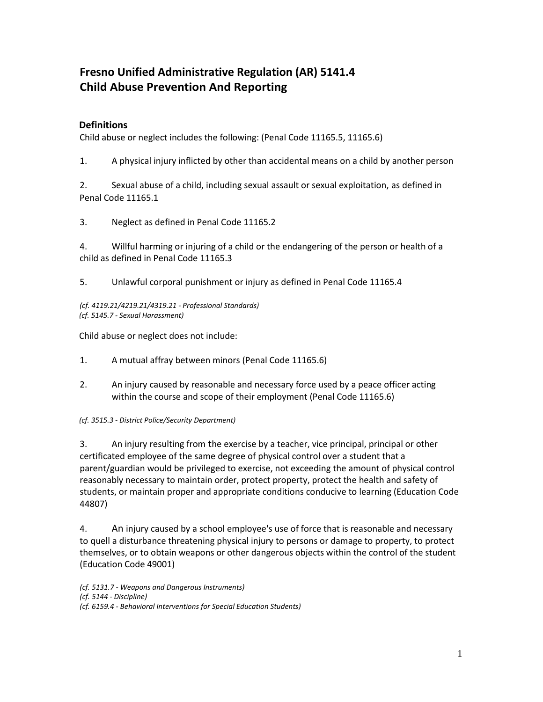# **Fresno Unified Administrative Regulation (AR) 5141.4 Child Abuse Prevention And Reporting**

# **Definitions**

Child abuse or neglect includes the following: (Penal Code 11165.5, 11165.6)

1. A physical injury inflicted by other than accidental means on a child by another person

2. Sexual abuse of a child, including sexual assault or sexual exploitation, as defined in Penal Code 11165.1

3. Neglect as defined in Penal Code 11165.2

4. Willful harming or injuring of a child or the endangering of the person or health of a child as defined in Penal Code 11165.3

5. Unlawful corporal punishment or injury as defined in Penal Code 11165.4

*(cf. 4119.21/4219.21/4319.21 - Professional Standards) (cf. 5145.7 - Sexual Harassment)*

Child abuse or neglect does not include:

- 1. A mutual affray between minors (Penal Code 11165.6)
- 2. An injury caused by reasonable and necessary force used by a peace officer acting within the course and scope of their employment (Penal Code 11165.6)

## *(cf. 3515.3 - District Police/Security Department)*

3. An injury resulting from the exercise by a teacher, vice principal, principal or other certificated employee of the same degree of physical control over a student that a parent/guardian would be privileged to exercise, not exceeding the amount of physical control reasonably necessary to maintain order, protect property, protect the health and safety of students, or maintain proper and appropriate conditions conducive to learning (Education Code 44807)

4. An injury caused by a school employee's use of force that is reasonable and necessary to quell a disturbance threatening physical injury to persons or damage to property, to protect themselves, or to obtain weapons or other dangerous objects within the control of the student (Education Code 49001)

*(cf. 5131.7 - Weapons and Dangerous Instruments) (cf. 5144 - Discipline) (cf. 6159.4 - Behavioral Interventions for Special Education Students)*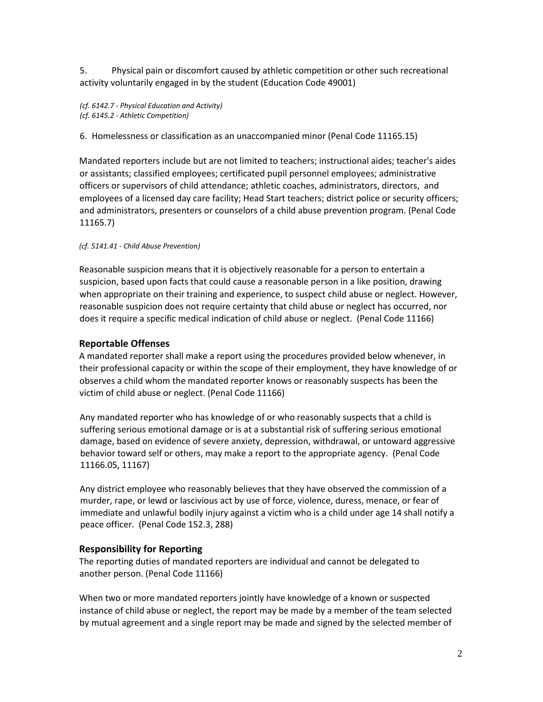5. Physical pain or discomfort caused by athletic competition or other such recreational activity voluntarily engaged in by the student (Education Code 49001)

*(cf. 6142.7 - Physical Education and Activity) (cf. 6145.2 - Athletic Competition)*

6. Homelessness or classification as an unaccompanied minor (Penal Code 11165.15)

Mandated reporters include but are not limited to teachers; instructional aides; teacher's aides or assistants; classified employees; certificated pupil personnel employees; administrative officers or supervisors of child attendance; athletic coaches, administrators, directors, and employees of a licensed day care facility; Head Start teachers; district police or security officers; and administrators, presenters or counselors of a child abuse prevention program. (Penal Code 11165.7)

*(cf. 5141.41 - Child Abuse Prevention)* 

Reasonable suspicion means that it is objectively reasonable for a person to entertain a suspicion, based upon facts that could cause a reasonable person in a like position, drawing when appropriate on their training and experience, to suspect child abuse or neglect. However, reasonable suspicion does not require certainty that child abuse or neglect has occurred, nor does it require a specific medical indication of child abuse or neglect.(Penal Code 11166)

# **Reportable Offenses**

A mandated reporter shall make a report using the procedures provided below whenever, in their professional capacity or within the scope of their employment, they have knowledge of or observes a child whom the mandated reporter knows or reasonably suspects has been the victim of child abuse or neglect. (Penal Code 11166)

Any mandated reporter who has knowledge of or who reasonably suspects that a child is suffering serious emotional damage or is at a substantial risk of suffering serious emotional damage, based on evidence of severe anxiety, depression, withdrawal, or untoward aggressive behavior toward self or others, may make a report to the appropriate agency. (Penal Code 11166.05, 11167)

Any district employee who reasonably believes that they have observed the commission of a murder, rape, or lewd or lascivious act by use of force, violence, duress, menace, or fear of immediate and unlawful bodily injury against a victim who is a child under age 14 shall notify a peace officer. (Penal Code 152.3, 288)

# **Responsibility for Reporting**

The reporting duties of mandated reporters are individual and cannot be delegated to another person. (Penal Code 11166)

When two or more mandated reporters jointly have knowledge of a known or suspected instance of child abuse or neglect, the report may be made by a member of the team selected by mutual agreement and a single report may be made and signed by the selected member of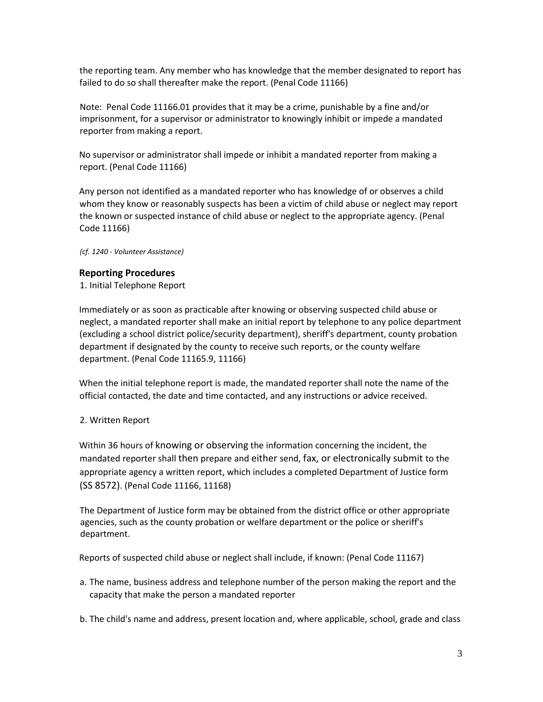the reporting team. Any member who has knowledge that the member designated to report has failed to do so shall thereafter make the report. (Penal Code 11166)

Note: Penal Code 11166.01 provides that it may be a crime, punishable by a fine and/or imprisonment, for a supervisor or administrator to knowingly inhibit or impede a mandated reporter from making a report.

No supervisor or administrator shall impede or inhibit a mandated reporter from making a report. (Penal Code 11166)

Any person not identified as a mandated reporter who has knowledge of or observes a child whom they know or reasonably suspects has been a victim of child abuse or neglect may report the known or suspected instance of child abuse or neglect to the appropriate agency. (Penal Code 11166)

*(cf. 1240 - Volunteer Assistance)*

#### **Reporting Procedures**

1. Initial Telephone Report

Immediately or as soon as practicable after knowing or observing suspected child abuse or neglect, a mandated reporter shall make an initial report by telephone to any police department (excluding a school district police/security department), sheriff's department, county probation department if designated by the county to receive such reports, or the county welfare department. (Penal Code 11165.9, 11166)

When the initial telephone report is made, the mandated reporter shall note the name of the official contacted, the date and time contacted, and any instructions or advice received.

## 2. Written Report

Within 36 hours of knowing or observing the information concerning the incident, the mandated reporter shall then prepare and either send, fax, or electronically submit to the appropriate agency a written report, which includes a completed Department of Justice form (SS 8572). (Penal Code 11166, 11168)

The Department of Justice form may be obtained from the district office or other appropriate agencies, such as the county probation or welfare department or the police or sheriff's department.

Reports of suspected child abuse or neglect shall include, if known: (Penal Code 11167)

- a. The name, business address and telephone number of the person making the report and the capacity that make the person a mandated reporter
- b. The child's name and address, present location and, where applicable, school, grade and class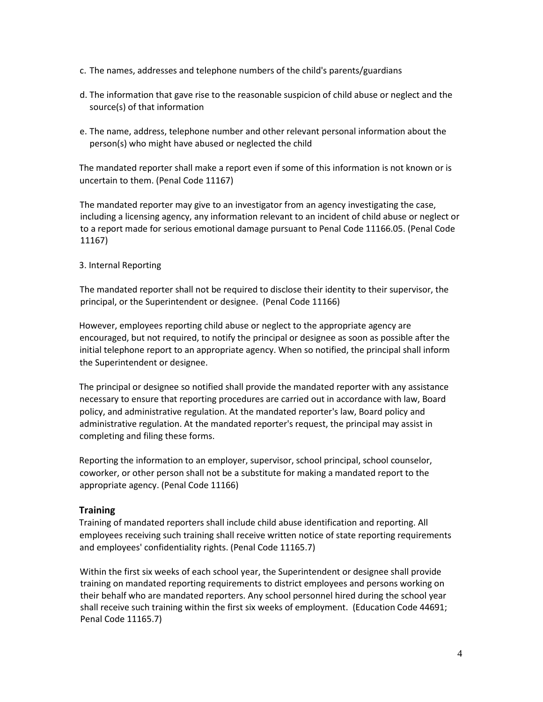- c. The names, addresses and telephone numbers of the child's parents/guardians
- d. The information that gave rise to the reasonable suspicion of child abuse or neglect and the source(s) of that information
- e. The name, address, telephone number and other relevant personal information about the person(s) who might have abused or neglected the child

The mandated reporter shall make a report even if some of this information is not known or is uncertain to them. (Penal Code 11167)

The mandated reporter may give to an investigator from an agency investigating the case, including a licensing agency, any information relevant to an incident of child abuse or neglect or to a report made for serious emotional damage pursuant to Penal Code 11166.05. (Penal Code 11167)

#### 3. Internal Reporting

The mandated reporter shall not be required to disclose their identity to their supervisor, the principal, or the Superintendent or designee. (Penal Code 11166)

However, employees reporting child abuse or neglect to the appropriate agency are encouraged, but not required, to notify the principal or designee as soon as possible after the initial telephone report to an appropriate agency. When so notified, the principal shall inform the Superintendent or designee.

The principal or designee so notified shall provide the mandated reporter with any assistance necessary to ensure that reporting procedures are carried out in accordance with law, Board policy, and administrative regulation. At the mandated reporter's law, Board policy and administrative regulation. At the mandated reporter's request, the principal may assist in completing and filing these forms.

Reporting the information to an employer, supervisor, school principal, school counselor, coworker, or other person shall not be a substitute for making a mandated report to the appropriate agency. (Penal Code 11166)

## **Training**

Training of mandated reporters shall include child abuse identification and reporting. All employees receiving such training shall receive written notice of state reporting requirements and employees' confidentiality rights. (Penal Code 11165.7)

Within the first six weeks of each school year, the Superintendent or designee shall provide training on mandated reporting requirements to district employees and persons working on their behalf who are mandated reporters. Any school personnel hired during the school year shall receive such training within the first six weeks of employment. (Education Code 44691; Penal Code 11165.7)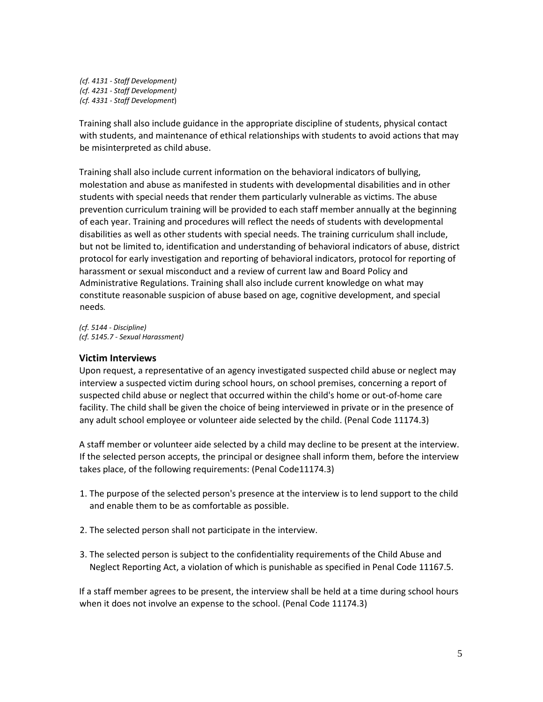*(cf. 4131 - Staff Development) (cf. 4231 - Staff Development) (cf. 4331 - Staff Development*)

Training shall also include guidance in the appropriate discipline of students, physical contact with students, and maintenance of ethical relationships with students to avoid actions that may be misinterpreted as child abuse.

Training shall also include current information on the behavioral indicators of bullying, molestation and abuse as manifested in students with developmental disabilities and in other students with special needs that render them particularly vulnerable as victims. The abuse prevention curriculum training will be provided to each staff member annually at the beginning of each year. Training and procedures will reflect the needs of students with developmental disabilities as well as other students with special needs. The training curriculum shall include, but not be limited to, identification and understanding of behavioral indicators of abuse, district protocol for early investigation and reporting of behavioral indicators, protocol for reporting of harassment or sexual misconduct and a review of current law and Board Policy and Administrative Regulations. Training shall also include current knowledge on what may constitute reasonable suspicion of abuse based on age, cognitive development, and special needs*.* 

*(cf. 5144 - Discipline) (cf. 5145.7 - Sexual Harassment)* 

## **Victim Interviews**

Upon request, a representative of an agency investigated suspected child abuse or neglect may interview a suspected victim during school hours, on school premises, concerning a report of suspected child abuse or neglect that occurred within the child's home or out-of-home care facility. The child shall be given the choice of being interviewed in private or in the presence of any adult school employee or volunteer aide selected by the child. (Penal Code 11174.3)

A staff member or volunteer aide selected by a child may decline to be present at the interview. If the selected person accepts, the principal or designee shall inform them, before the interview takes place, of the following requirements: (Penal Code11174.3)

- 1. The purpose of the selected person's presence at the interview is to lend support to the child and enable them to be as comfortable as possible.
- 2. The selected person shall not participate in the interview.
- 3. The selected person is subject to the confidentiality requirements of the Child Abuse and Neglect Reporting Act, a violation of which is punishable as specified in Penal Code 11167.5.

If a staff member agrees to be present, the interview shall be held at a time during school hours when it does not involve an expense to the school. (Penal Code 11174.3)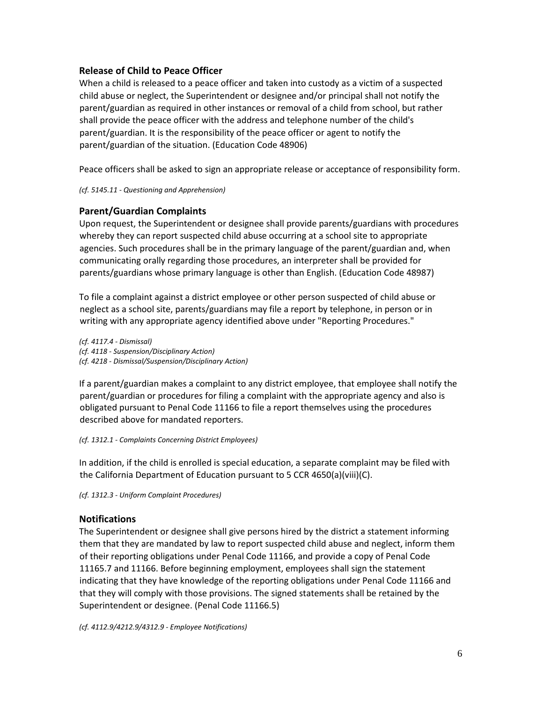# **Release of Child to Peace Officer**

When a child is released to a peace officer and taken into custody as a victim of a suspected child abuse or neglect, the Superintendent or designee and/or principal shall not notify the parent/guardian as required in other instances or removal of a child from school, but rather shall provide the peace officer with the address and telephone number of the child's parent/guardian. It is the responsibility of the peace officer or agent to notify the parent/guardian of the situation. (Education Code 48906)

Peace officers shall be asked to sign an appropriate release or acceptance of responsibility form.

#### *(cf. 5145.11 - Questioning and Apprehension)*

# **Parent/Guardian Complaints**

Upon request, the Superintendent or designee shall provide parents/guardians with procedures whereby they can report suspected child abuse occurring at a school site to appropriate agencies. Such procedures shall be in the primary language of the parent/guardian and, when communicating orally regarding those procedures, an interpreter shall be provided for parents/guardians whose primary language is other than English. (Education Code 48987)

To file a complaint against a district employee or other person suspected of child abuse or neglect as a school site, parents/guardians may file a report by telephone, in person or in writing with any appropriate agency identified above under "Reporting Procedures."

*(cf. 4117.4 - Dismissal) (cf. 4118 - Suspension/Disciplinary Action) (cf. 4218 - Dismissal/Suspension/Disciplinary Action)* 

If a parent/guardian makes a complaint to any district employee, that employee shall notify the parent/guardian or procedures for filing a complaint with the appropriate agency and also is obligated pursuant to Penal Code 11166 to file a report themselves using the procedures described above for mandated reporters.

*(cf. 1312.1 - Complaints Concerning District Employees)* 

In addition, if the child is enrolled is special education, a separate complaint may be filed with the California Department of Education pursuant to 5 CCR 4650(a)(viii)(C).

*(cf. 1312.3 - Uniform Complaint Procedures)* 

# **Notifications**

The Superintendent or designee shall give persons hired by the district a statement informing them that they are mandated by law to report suspected child abuse and neglect, inform them of their reporting obligations under Penal Code 11166, and provide a copy of Penal Code 11165.7 and 11166. Before beginning employment, employees shall sign the statement indicating that they have knowledge of the reporting obligations under Penal Code 11166 and that they will comply with those provisions. The signed statements shall be retained by the Superintendent or designee. (Penal Code 11166.5)

*(cf. 4112.9/4212.9/4312.9 - Employee Notifications)*